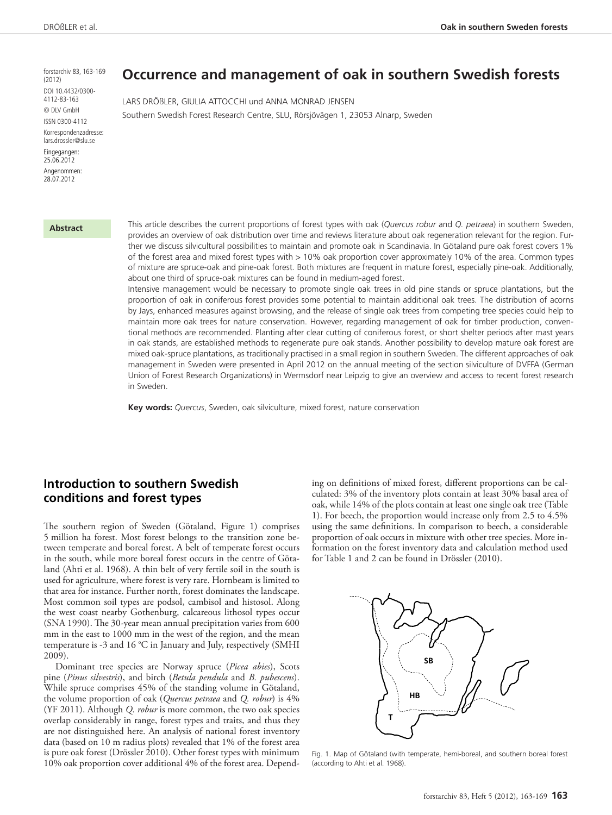forstarchiv 83, 163-169  $(2012)$ DOI 10.4432/0300- 4112-83-163 © DLV GmbH ISSN 0300-4112 Korrespondenzadresse: lars.drossler@slu.se Eingegangen:

25.06.2012

Angenommen: 28.07.2012

#### **Abstract**

**Occurrence and management of oak in southern Swedish forests**

Lars Drößler, Giulia Attocchi und Anna Monrad Jensen Southern Swedish Forest Research Centre, SLU, Rörsjövägen 1, 23053 Alnarp, Sweden

This article describes the current proportions of forest types with oak (*Quercus robur* and *Q. petraea*) in southern Sweden, provides an overview of oak distribution over time and reviews literature about oak regeneration relevant for the region. Further we discuss silvicultural possibilities to maintain and promote oak in Scandinavia. In Götaland pure oak forest covers 1% of the forest area and mixed forest types with > 10% oak proportion cover approximately 10% of the area. Common types of mixture are spruce-oak and pine-oak forest. Both mixtures are frequent in mature forest, especially pine-oak. Additionally, about one third of spruce-oak mixtures can be found in medium-aged forest.

Intensive management would be necessary to promote single oak trees in old pine stands or spruce plantations, but the proportion of oak in coniferous forest provides some potential to maintain additional oak trees. The distribution of acorns by Jays, enhanced measures against browsing, and the release of single oak trees from competing tree species could help to maintain more oak trees for nature conservation. However, regarding management of oak for timber production, conventional methods are recommended. Planting after clear cutting of coniferous forest, or short shelter periods after mast years in oak stands, are established methods to regenerate pure oak stands. Another possibility to develop mature oak forest are mixed oak-spruce plantations, as traditionally practised in a small region in southern Sweden. The different approaches of oak management in Sweden were presented in April 2012 on the annual meeting of the section silviculture of DVFFA (German Union of Forest Research Organizations) in Wermsdorf near Leipzig to give an overview and access to recent forest research in Sweden.

**Key words:** *Quercus*, Sweden, oak silviculture, mixed forest, nature conservation

# **Introduction to southern Swedish conditions and forest types**

The southern region of Sweden (Götaland, Figure 1) comprises 5 million ha forest. Most forest belongs to the transition zone between temperate and boreal forest. A belt of temperate forest occurs in the south, while more boreal forest occurs in the centre of Götaland (Ahti et al. 1968). A thin belt of very fertile soil in the south is used for agriculture, where forest is very rare. Hornbeam is limited to that area for instance. Further north, forest dominates the landscape. Most common soil types are podsol, cambisol and histosol. Along the west coast nearby Gothenburg, calcareous lithosol types occur (SNA 1990). The 30-year mean annual precipitation varies from 600 mm in the east to 1000 mm in the west of the region, and the mean temperature is -3 and 16 °C in January and July, respectively (SMHI 2009).

Dominant tree species are Norway spruce (*Picea abies*), Scots pine (*Pinus silvestris*), and birch (*Betula pendula* and *B. pubescens*). While spruce comprises 45% of the standing volume in Götaland, the volume proportion of oak (*Quercus petraea* and *Q. robur*) is 4% (YF 2011). Although *Q. robur* is more common, the two oak species overlap considerably in range, forest types and traits, and thus they are not distinguished here. An analysis of national forest inventory data (based on 10 m radius plots) revealed that 1% of the forest area is pure oak forest (Drössler 2010). Other forest types with minimum 10% oak proportion cover additional 4% of the forest area. Depending on definitions of mixed forest, different proportions can be calculated: 3% of the inventory plots contain at least 30% basal area of oak, while 14% of the plots contain at least one single oak tree (Table 1). For beech, the proportion would increase only from 2.5 to 4.5% using the same definitions. In comparison to beech, a considerable proportion of oak occurs in mixture with other tree species. More information on the forest inventory data and calculation method used for Table 1 and 2 can be found in Drössler (2010).



Fig. 1. Map of Götaland (with temperate, hemi-boreal, and southern boreal forest (according to Ahti et al. 1968).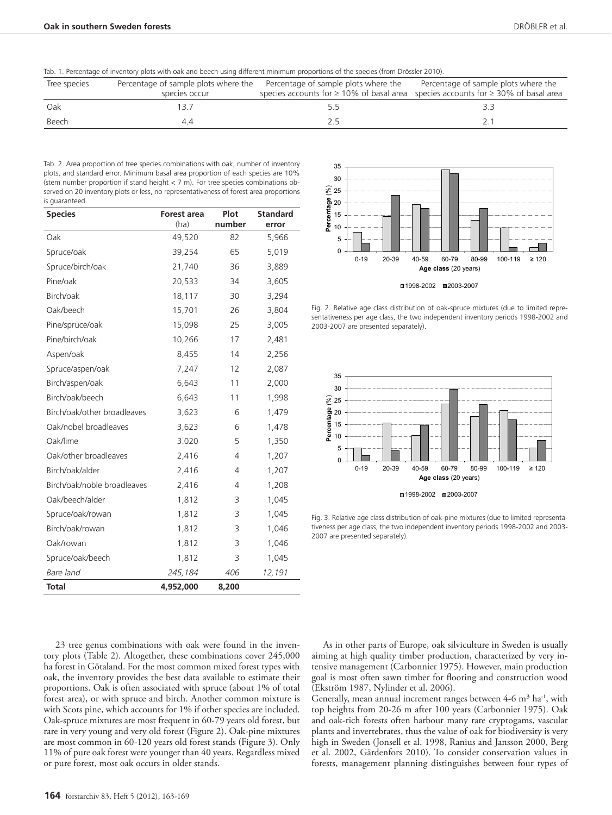Tab. 1. Percentage of inventory plots with oak and beech using different minimum proportions of the species (from Drössler 2010).

| Tree species |               | Percentage of sample plots where the Percentage of sample plots where the | Percentage of sample plots where the                                                          |
|--------------|---------------|---------------------------------------------------------------------------|-----------------------------------------------------------------------------------------------|
|              | species occur |                                                                           | species accounts for $\geq 10\%$ of basal area species accounts for $\geq 30\%$ of basal area |
| Oak          |               |                                                                           |                                                                                               |
| Beech        |               |                                                                           |                                                                                               |

Tab. 2. Area proportion of tree species combinations with oak, number of inventory plots, and standard error. Minimum basal area proportion of each species are 10% (stem number proportion if stand height  $\lt 7$  m). For tree species combinations observed on 20 inventory plots or less, no representativeness of forest area proportions is guaranteed.

| <b>Species</b>              | <b>Forest area</b><br>(ha) | Plot<br>number | <b>Standard</b><br>error |
|-----------------------------|----------------------------|----------------|--------------------------|
| Oak                         | 49,520                     | 82             | 5,966                    |
| Spruce/oak                  | 39,254                     | 65             | 5,019                    |
| Spruce/birch/oak            | 21,740                     | 36             | 3,889                    |
| Pine/oak                    | 20,533                     | 34             | 3,605                    |
| Birch/oak                   | 18,117                     | 30             | 3,294                    |
| Oak/beech                   | 15,701                     | 26             | 3,804                    |
| Pine/spruce/oak             | 15,098                     | 25             | 3,005                    |
| Pine/birch/oak              | 10,266                     | 17             | 2,481                    |
| Aspen/oak                   | 8,455                      | 14             | 2,256                    |
| Spruce/aspen/oak            | 7,247                      | 12             | 2,087                    |
| Birch/aspen/oak             | 6,643                      | 11             | 2,000                    |
| Birch/oak/beech             | 6,643                      | 11             | 1,998                    |
| Birch/oak/other broadleaves | 3,623                      | 6              | 1,479                    |
| Oak/nobel broadleaves       | 3,623                      | 6              | 1,478                    |
| Oak/lime                    | 3.020                      | 5              | 1,350                    |
| Oak/other broadleaves       | 2,416                      | $\overline{4}$ | 1,207                    |
| Birch/oak/alder             | 2,416                      | 4              | 1,207                    |
| Birch/oak/noble broadleaves | 2,416                      | 4              | 1,208                    |
| Oak/beech/alder             | 1,812                      | 3              | 1,045                    |
| Spruce/oak/rowan            | 1,812                      | 3              | 1,045                    |
| Birch/oak/rowan             | 1,812                      | 3              | 1,046                    |
| Oak/rowan                   | 1,812                      | 3              | 1,046                    |
| Spruce/oak/beech            | 1,812                      | 3              | 1,045                    |
| Bare land                   | 245,184                    | 406            | 12,191                   |
| <b>Total</b>                | 4,952,000                  | 8,200          |                          |

23 tree genus combinations with oak were found in the inventory plots (Table 2). Altogether, these combinations cover 245,000 ha forest in Götaland. For the most common mixed forest types with oak, the inventory provides the best data available to estimate their proportions. Oak is often associated with spruce (about 1% of total forest area), or with spruce and birch. Another common mixture is with Scots pine, which accounts for 1% if other species are included. Oak-spruce mixtures are most frequent in 60-79 years old forest, but rare in very young and very old forest (Figure 2). Oak-pine mixtures are most common in 60-120 years old forest stands (Figure 3). Only 11% of pure oak forest were younger than 40 years. Regardless mixed or pure forest, most oak occurs in older stands.



Fig. 2. Relative age class distribution of oak-spruce mixtures (due to limited representativeness per age class, the two independent inventory periods 1998-2002 and 2003-2007 are presented separately).



Fig. 3. Relative age class distribution of oak-pine mixtures (due to limited representativeness per age class, the two independent inventory periods 1998-2002 and 2003- 2007 are presented separately).

As in other parts of Europe, oak silviculture in Sweden is usually aiming at high quality timber production, characterized by very intensive management (Carbonnier 1975). However, main production goal is most often sawn timber for flooring and construction wood (Ekström 1987, Nylinder et al. 2006).

Generally, mean annual increment ranges between  $4-6$  m<sup>3</sup> ha<sup>-1</sup>, with top heights from 20-26 m after 100 years (Carbonnier 1975). Oak and oak-rich forests often harbour many rare cryptogams, vascular plants and invertebrates, thus the value of oak for biodiversity is very high in Sweden (Jonsell et al. 1998, Ranius and Jansson 2000, Berg et al. 2002, Gärdenfors 2010). To consider conservation values in forests, management planning distinguishes between four types of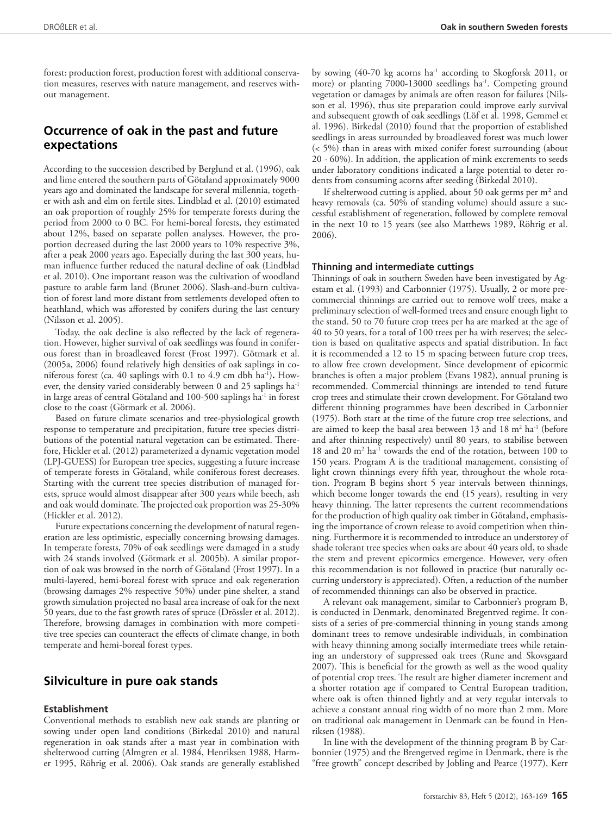forest: production forest, production forest with additional conservation measures, reserves with nature management, and reserves without management.

# **Occurrence of oak in the past and future expectations**

According to the succession described by Berglund et al. (1996), oak and lime entered the southern parts of Götaland approximately 9000 years ago and dominated the landscape for several millennia, together with ash and elm on fertile sites. Lindblad et al. (2010) estimated an oak proportion of roughly 25% for temperate forests during the period from 2000 to 0 BC. For hemi-boreal forests, they estimated about 12%, based on separate pollen analyses. However, the proportion decreased during the last 2000 years to 10% respective 3%, after a peak 2000 years ago. Especially during the last 300 years, human influence further reduced the natural decline of oak (Lindblad et al. 2010). One important reason was the cultivation of woodland pasture to arable farm land (Brunet 2006). Slash-and-burn cultivation of forest land more distant from settlements developed often to heathland, which was afforested by conifers during the last century (Nilsson et al. 2005).

Today, the oak decline is also reflected by the lack of regeneration. However, higher survival of oak seedlings was found in coniferous forest than in broadleaved forest (Frost 1997). Götmark et al. (2005a, 2006) found relatively high densities of oak saplings in coniferous forest (ca. 40 saplings with 0.1 to 4.9 cm dbh ha<sup>-1</sup>). However, the density varied considerably between 0 and 25 saplings ha<sup>-1</sup> in large areas of central Götaland and 100-500 saplings ha<sup>-1</sup> in forest close to the coast (Götmark et al. 2006).

Based on future climate scenarios and tree-physiological growth response to temperature and precipitation, future tree species distributions of the potential natural vegetation can be estimated. Therefore, Hickler et al. (2012) parameterized a dynamic vegetation model (LPJ-GUESS) for European tree species, suggesting a future increase of temperate forests in Götaland, while coniferous forest decreases. Starting with the current tree species distribution of managed forests, spruce would almost disappear after 300 years while beech, ash and oak would dominate. The projected oak proportion was 25-30% (Hickler et al. 2012).

Future expectations concerning the development of natural regeneration are less optimistic, especially concerning browsing damages. In temperate forests, 70% of oak seedlings were damaged in a study with 24 stands involved (Götmark et al. 2005b). A similar proportion of oak was browsed in the north of Götaland (Frost 1997). In a multi-layered, hemi-boreal forest with spruce and oak regeneration (browsing damages 2% respective 50%) under pine shelter, a stand growth simulation projected no basal area increase of oak for the next 50 years, due to the fast growth rates of spruce (Drössler et al. 2012). Therefore, browsing damages in combination with more competitive tree species can counteract the effects of climate change, in both temperate and hemi-boreal forest types.

### **Silviculture in pure oak stands**

### **Establishment**

Conventional methods to establish new oak stands are planting or sowing under open land conditions (Birkedal 2010) and natural regeneration in oak stands after a mast year in combination with shelterwood cutting (Almgren et al. 1984, Henriksen 1988, Harmer 1995, Röhrig et al. 2006). Oak stands are generally established

by sowing  $(40-70 \text{ kg}$  acorns ha<sup>-1</sup> according to Skogforsk 2011, or more) or planting 7000-13000 seedlings ha<sup>-1</sup>. Competing ground vegetation or damages by animals are often reason for failures (Nilsson et al. 1996), thus site preparation could improve early survival and subsequent growth of oak seedlings (Löf et al. 1998, Gemmel et al. 1996). Birkedal (2010) found that the proportion of established seedlings in areas surrounded by broadleaved forest was much lower (< 5%) than in areas with mixed conifer forest surrounding (about 20 - 60%). In addition, the application of mink excrements to seeds under laboratory conditions indicated a large potential to deter rodents from consuming acorns after seeding (Birkedal 2010).

If shelterwood cutting is applied, about 50 oak germs per m² and heavy removals (ca. 50% of standing volume) should assure a successful establishment of regeneration, followed by complete removal in the next 10 to 15 years (see also Matthews 1989, Röhrig et al. 2006).

#### **Thinning and intermediate cuttings**

Thinnings of oak in southern Sweden have been investigated by Agestam et al. (1993) and Carbonnier (1975). Usually, 2 or more precommercial thinnings are carried out to remove wolf trees, make a preliminary selection of well-formed trees and ensure enough light to the stand. 50 to 70 future crop trees per ha are marked at the age of 40 to 50 years, for a total of 100 trees per ha with reserves; the selection is based on qualitative aspects and spatial distribution. In fact it is recommended a 12 to 15 m spacing between future crop trees, to allow free crown development. Since development of epicormic branches is often a major problem (Evans 1982), annual pruning is recommended. Commercial thinnings are intended to tend future crop trees and stimulate their crown development. For Götaland two different thinning programmes have been described in Carbonnier (1975). Both start at the time of the future crop tree selections, and are aimed to keep the basal area between  $13$  and  $18 \text{ m}^2$  ha<sup>-1</sup> (before and after thinning respectively) until 80 years, to stabilise between 18 and 20 m<sup>2</sup> ha<sup>-1</sup> towards the end of the rotation, between 100 to 150 years. Program A is the traditional management, consisting of light crown thinnings every fifth year, throughout the whole rotation. Program B begins short 5 year intervals between thinnings, which become longer towards the end (15 years), resulting in very heavy thinning. The latter represents the current recommendations for the production of high quality oak timber in Götaland, emphasising the importance of crown release to avoid competition when thinning. Furthermore it is recommended to introduce an understorey of shade tolerant tree species when oaks are about 40 years old, to shade the stem and prevent epicormics emergence. However, very often this recommendation is not followed in practice (but naturally occurring understory is appreciated). Often, a reduction of the number of recommended thinnings can also be observed in practice.

A relevant oak management, similar to Carbonnier's program B, is conducted in Denmark, denominated Bregentved regime. It consists of a series of pre-commercial thinning in young stands among dominant trees to remove undesirable individuals, in combination with heavy thinning among socially intermediate trees while retaining an understory of suppressed oak trees (Rune and Skovsgaard 2007). This is beneficial for the growth as well as the wood quality of potential crop trees. The result are higher diameter increment and a shorter rotation age if compared to Central European tradition, where oak is often thinned lightly and at very regular intervals to achieve a constant annual ring width of no more than 2 mm. More on traditional oak management in Denmark can be found in Henriksen (1988).

In line with the development of the thinning program B by Carbonnier (1975) and the Brengetved regime in Denmark, there is the "free growth" concept described by Jobling and Pearce (1977), Kerr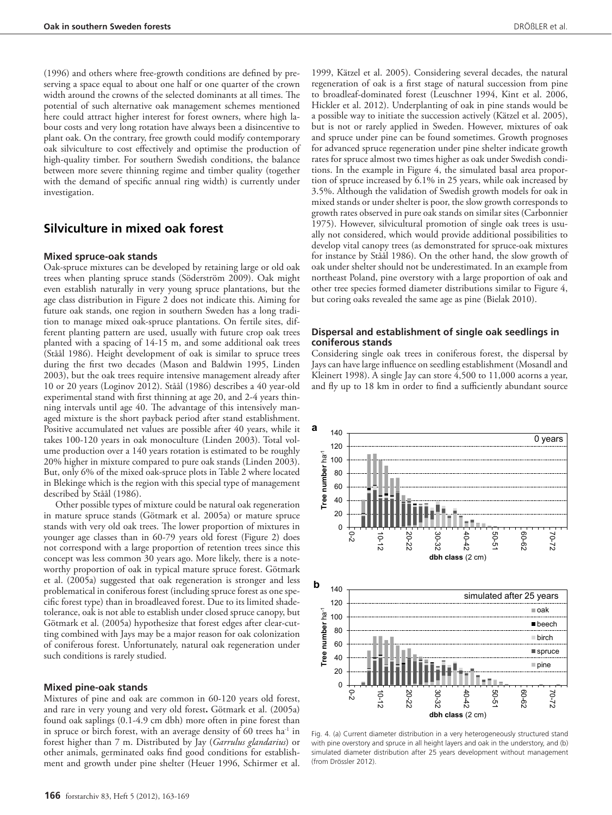(1996) and others where free-growth conditions are defined by preserving a space equal to about one half or one quarter of the crown width around the crowns of the selected dominants at all times. The potential of such alternative oak management schemes mentioned here could attract higher interest for forest owners, where high labour costs and very long rotation have always been a disincentive to plant oak. On the contrary, free growth could modify contemporary oak silviculture to cost effectively and optimise the production of high-quality timber. For southern Swedish conditions, the balance between more severe thinning regime and timber quality (together with the demand of specific annual ring width) is currently under investigation.

### **Silviculture in mixed oak forest**

### **Mixed spruce-oak stands**

Oak-spruce mixtures can be developed by retaining large or old oak trees when planting spruce stands (Söderström 2009). Oak might even establish naturally in very young spruce plantations, but the age class distribution in Figure 2 does not indicate this. Aiming for future oak stands, one region in southern Sweden has a long tradition to manage mixed oak-spruce plantations. On fertile sites, different planting pattern are used, usually with future crop oak trees planted with a spacing of 14-15 m, and some additional oak trees (Ståål 1986). Height development of oak is similar to spruce trees during the first two decades (Mason and Baldwin 1995, Linden 2003), but the oak trees require intensive management already after 10 or 20 years (Loginov 2012). Ståål (1986) describes a 40 year-old experimental stand with first thinning at age 20, and 2-4 years thinning intervals until age 40. The advantage of this intensively managed mixture is the short payback period after stand establishment. Positive accumulated net values are possible after 40 years, while it takes 100-120 years in oak monoculture (Linden 2003). Total volume production over a 140 years rotation is estimated to be roughly 20% higher in mixture compared to pure oak stands (Linden 2003). But, only 6% of the mixed oak-spruce plots in Table 2 where located in Blekinge which is the region with this special type of management described by Ståål (1986).

Other possible types of mixture could be natural oak regeneration in mature spruce stands (Götmark et al. 2005a) or mature spruce stands with very old oak trees. The lower proportion of mixtures in younger age classes than in 60-79 years old forest (Figure 2) does not correspond with a large proportion of retention trees since this concept was less common 30 years ago. More likely, there is a noteworthy proportion of oak in typical mature spruce forest. Götmark et al. (2005a) suggested that oak regeneration is stronger and less problematical in coniferous forest (including spruce forest as one specific forest type) than in broadleaved forest. Due to its limited shadetolerance, oak is not able to establish under closed spruce canopy, but Götmark et al. (2005a) hypothesize that forest edges after clear-cutting combined with Jays may be a major reason for oak colonization of coniferous forest. Unfortunately, natural oak regeneration under such conditions is rarely studied.

#### **Mixed pine-oak stands**

Mixtures of pine and oak are common in 60-120 years old forest, and rare in very young and very old forest**.** Götmark et al. (2005a) found oak saplings (0.1-4.9 cm dbh) more often in pine forest than in spruce or birch forest, with an average density of 60 trees ha<sup>-1</sup> in forest higher than 7 m. Distributed by Jay (*Garrulus glandarius*) or other animals, germinated oaks find good conditions for establishment and growth under pine shelter (Heuer 1996, Schirmer et al.

1999, Kätzel et al. 2005). Considering several decades, the natural regeneration of oak is a first stage of natural succession from pine to broadleaf-dominated forest (Leuschner 1994, Kint et al. 2006, Hickler et al. 2012). Underplanting of oak in pine stands would be a possible way to initiate the succession actively (Kätzel et al. 2005), but is not or rarely applied in Sweden. However, mixtures of oak and spruce under pine can be found sometimes. Growth prognoses for advanced spruce regeneration under pine shelter indicate growth rates for spruce almost two times higher as oak under Swedish conditions. In the example in Figure 4, the simulated basal area proportion of spruce increased by 6.1% in 25 years, while oak increased by 3.5%. Although the validation of Swedish growth models for oak in mixed stands or under shelter is poor, the slow growth corresponds to growth rates observed in pure oak stands on similar sites (Carbonnier 1975). However, silvicultural promotion of single oak trees is usually not considered, which would provide additional possibilities to develop vital canopy trees (as demonstrated for spruce-oak mixtures for instance by Ståål 1986). On the other hand, the slow growth of oak under shelter should not be underestimated. In an example from northeast Poland, pine overstory with a large proportion of oak and other tree species formed diameter distributions similar to Figure 4, but coring oaks revealed the same age as pine (Bielak 2010).

### **Dispersal and establishment of single oak seedlings in coniferous stands**

Considering single oak trees in coniferous forest, the dispersal by Jays can have large influence on seedling establishment (Mosandl and Kleinert 1998). A single Jay can store  $\overline{4}$ ,500 to 11,000 acorns a year, and fly up to 18 km in order to find a sufficiently abundant source



Fig. 4. (a) Current diameter distribution in a very heterogeneously structured stand with pine overstory and spruce in all height layers and oak in the understory, and (b) simulated diameter distribution after 25 years development without management (from Drössler 2012).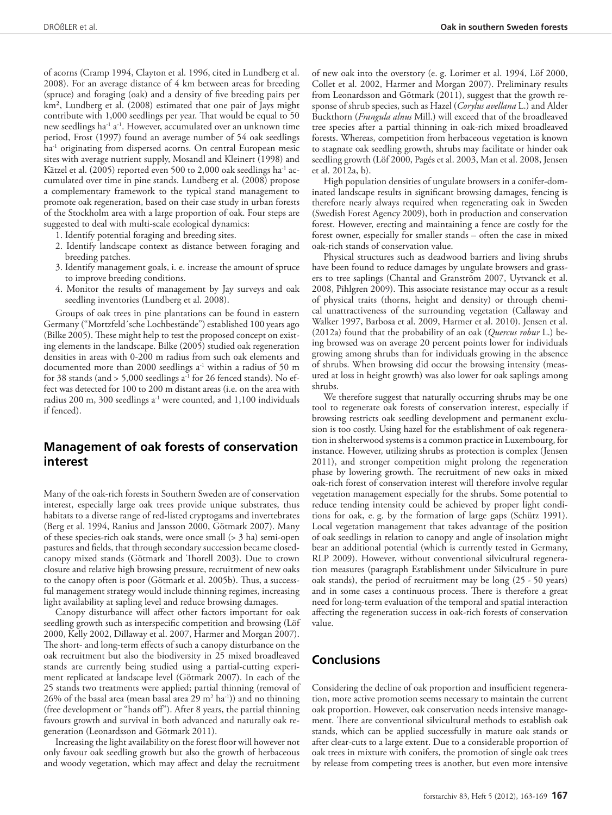of acorns (Cramp 1994, Clayton et al. 1996, cited in Lundberg et al. 2008). For an average distance of 4 km between areas for breeding (spruce) and foraging (oak) and a density of five breeding pairs per km², Lundberg et al. (2008) estimated that one pair of Jays might contribute with 1,000 seedlings per year. That would be equal to 50 new seedlings ha<sup>-1</sup> a<sup>-1</sup>. However, accumulated over an unknown time period, Frost (1997) found an average number of 54 oak seedlings ha<sup>-1</sup> originating from dispersed acorns. On central European mesic sites with average nutrient supply, Mosandl and Kleinert (1998) and Kätzel et al. (2005) reported even 500 to 2,000 oak seedlings ha<sup>-1</sup> accumulated over time in pine stands. Lundberg et al. (2008) propose a complementary framework to the typical stand management to promote oak regeneration, based on their case study in urban forests of the Stockholm area with a large proportion of oak. Four steps are suggested to deal with multi-scale ecological dynamics:

- 1. Identify potential foraging and breeding sites.
- 2. Identify landscape context as distance between foraging and breeding patches.
- 3. Identify management goals, i. e. increase the amount of spruce to improve breeding conditions.
- 4. Monitor the results of management by Jay surveys and oak seedling inventories (Lundberg et al. 2008).

Groups of oak trees in pine plantations can be found in eastern Germany ("Mortzfeld´sche Lochbestände") established 100 years ago (Bilke 2005). These might help to test the proposed concept on existing elements in the landscape. Bilke (2005) studied oak regeneration densities in areas with 0-200 m radius from such oak elements and documented more than 2000 seedlings a<sup>-1</sup> within a radius of 50 m for 38 stands (and  $> 5,000$  seedlings a<sup>-1</sup> for 26 fenced stands). No effect was detected for 100 to 200 m distant areas (i.e. on the area with radius 200 m, 300 seedlings  $a^{-1}$  were counted, and 1,100 individuals if fenced).

# **Management of oak forests of conservation interest**

Many of the oak-rich forests in Southern Sweden are of conservation interest, especially large oak trees provide unique substrates, thus habitats to a diverse range of red-listed cryptogams and invertebrates (Berg et al. 1994, Ranius and Jansson 2000, Götmark 2007). Many of these species-rich oak stands, were once small (> 3 ha) semi-open pastures and fields, that through secondary succession became closedcanopy mixed stands (Götmark and Thorell 2003). Due to crown closure and relative high browsing pressure, recruitment of new oaks to the canopy often is poor (Götmark et al. 2005b). Thus, a successful management strategy would include thinning regimes, increasing light availability at sapling level and reduce browsing damages.

Canopy disturbance will affect other factors important for oak seedling growth such as interspecific competition and browsing (Löf 2000, Kelly 2002, Dillaway et al. 2007, Harmer and Morgan 2007). The short- and long-term effects of such a canopy disturbance on the oak recruitment but also the biodiversity in 25 mixed broadleaved stands are currently being studied using a partial-cutting experiment replicated at landscape level (Götmark 2007). In each of the 25 stands two treatments were applied; partial thinning (removal of 26% of the basal area (mean basal area 29 m<sup>2</sup> ha<sup>-1</sup>)) and no thinning (free development or "hands off"). After 8 years, the partial thinning favours growth and survival in both advanced and naturally oak regeneration (Leonardsson and Götmark 2011).

Increasing the light availability on the forest floor will however not only favour oak seedling growth but also the growth of herbaceous and woody vegetation, which may affect and delay the recruitment of new oak into the overstory (e. g. Lorimer et al. 1994, Löf 2000, Collet et al. 2002, Harmer and Morgan 2007). Preliminary results from Leonardsson and Götmark (2011), suggest that the growth response of shrub species, such as Hazel (*Corylus avellana* L.) and Alder Buckthorn (*Frangula alnus* Mill.) will exceed that of the broadleaved tree species after a partial thinning in oak-rich mixed broadleaved forests. Whereas, competition from herbaceous vegetation is known to stagnate oak seedling growth, shrubs may facilitate or hinder oak seedling growth (Löf 2000, Pagés et al. 2003, Man et al. 2008, Jensen et al. 2012a, b).

High population densities of ungulate browsers in a conifer-dominated landscape results in significant browsing damages, fencing is therefore nearly always required when regenerating oak in Sweden (Swedish Forest Agency 2009), both in production and conservation forest. However, erecting and maintaining a fence are costly for the forest owner, especially for smaller stands – often the case in mixed oak-rich stands of conservation value.

Physical structures such as deadwood barriers and living shrubs have been found to reduce damages by ungulate browsers and grassers to tree saplings (Chantal and Granström 2007, Uytvanck et al. 2008, Pihlgren 2009). This associate resistance may occur as a result of physical traits (thorns, height and density) or through chemical unattractiveness of the surrounding vegetation (Callaway and Walker 1997, Barbosa et al. 2009, Harmer et al. 2010). Jensen et al. (2012a) found that the probability of an oak (*Quercus robur* L.) being browsed was on average 20 percent points lower for individuals growing among shrubs than for individuals growing in the absence of shrubs. When browsing did occur the browsing intensity (measured at loss in height growth) was also lower for oak saplings among shrubs.

We therefore suggest that naturally occurring shrubs may be one tool to regenerate oak forests of conservation interest, especially if browsing restricts oak seedling development and permanent exclusion is too costly. Using hazel for the establishment of oak regeneration in shelterwood systems is a common practice in Luxembourg, for instance. However, utilizing shrubs as protection is complex (Jensen 2011), and stronger competition might prolong the regeneration phase by lowering growth. The recruitment of new oaks in mixed oak-rich forest of conservation interest will therefore involve regular vegetation management especially for the shrubs. Some potential to reduce tending intensity could be achieved by proper light conditions for oak, e. g. by the formation of large gaps (Schütz 1991). Local vegetation management that takes advantage of the position of oak seedlings in relation to canopy and angle of insolation might bear an additional potential (which is currently tested in Germany, RLP 2009). However, without conventional silvicultural regeneration measures (paragraph Establishment under Silviculture in pure oak stands), the period of recruitment may be long (25 - 50 years) and in some cases a continuous process. There is therefore a great need for long-term evaluation of the temporal and spatial interaction affecting the regeneration success in oak-rich forests of conservation value.

# **Conclusions**

Considering the decline of oak proportion and insufficient regeneration, more active promotion seems necessary to maintain the current oak proportion. However, oak conservation needs intensive management. There are conventional silvicultural methods to establish oak stands, which can be applied successfully in mature oak stands or after clear-cuts to a large extent. Due to a considerable proportion of oak trees in mixture with conifers, the promotion of single oak trees by release from competing trees is another, but even more intensive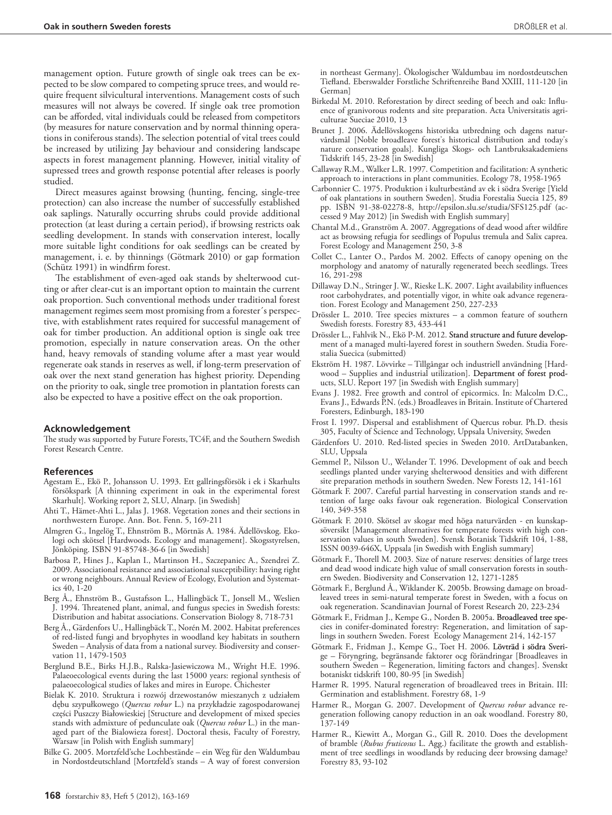management option. Future growth of single oak trees can be expected to be slow compared to competing spruce trees, and would require frequent silvicultural interventions. Management costs of such measures will not always be covered. If single oak tree promotion can be afforded, vital individuals could be released from competitors (by measures for nature conservation and by normal thinning operations in coniferous stands). The selection potential of vital trees could be increased by utilizing Jay behaviour and considering landscape aspects in forest management planning. However, initial vitality of supressed trees and growth response potential after releases is poorly studied.

Direct measures against browsing (hunting, fencing, single-tree protection) can also increase the number of successfully established oak saplings. Naturally occurring shrubs could provide additional protection (at least during a certain period), if browsing restricts oak seedling development. In stands with conservation interest, locally more suitable light conditions for oak seedlings can be created by management, i. e. by thinnings (Götmark 2010) or gap formation (Schütz 1991) in windfirm forest.

The establishment of even-aged oak stands by shelterwood cutting or after clear-cut is an important option to maintain the current oak proportion. Such conventional methods under traditional forest management regimes seem most promising from a forester´s perspective, with establishment rates required for successful management of oak for timber production. An additional option is single oak tree promotion, especially in nature conservation areas. On the other hand, heavy removals of standing volume after a mast year would regenerate oak stands in reserves as well, if long-term preservation of oak over the next stand generation has highest priority. Depending on the priority to oak, single tree promotion in plantation forests can also be expected to have a positive effect on the oak proportion.

#### **Acknowledgement**

The study was supported by Future Forests, TC4F, and the Southern Swedish Forest Research Centre.

#### **References**

- Agestam E., Ekö P., Johansson U. 1993. Ett gallringsförsök i ek i Skarhults försökspark [A thinning experiment in oak in the experimental forest Skarhult]. Working report 2, SLU, Alnarp. [in Swedish]
- Ahti T., Hämet-Ahti L., Jalas J. 1968. Vegetation zones and their sections in northwestern Europe. Ann. Bot. Fenn. 5, 169-211
- Almgren G., Ingelög T., Ehnström B., Mörtnäs A. 1984. Ädellövskog. Ekologi och skötsel [Hardwoods. Ecology and management]. Skogsstyrelsen, Jönköping. ISBN 91-85748-36-6 [in Swedish]
- Barbosa P., Hines J., Kaplan I., Martinson H., Szczepaniec A., Szendrei Z. 2009. Associational resistance and associational susceptibility: having right or wrong neighbours. Annual Review of Ecology, Evolution and Systematics 40, 1-20
- Berg Å., Ehnström B., Gustafsson L., Hallingbäck T., Jonsell M., Weslien 1994. Threatened plant, animal, and fungus species in Swedish forests: Distribution and habitat associations. Conservation Biology 8, 718-731
- Berg Å., Gärdenfors U., Hallingbäck T., Norén M. 2002. Habitat preferences of red-listed fungi and bryophytes in woodland key habitats in southern Sweden – Analysis of data from a national survey. Biodiversity and conservation 11, 1479-1503
- Berglund B.E., Birks H.J.B., Ralska-Jasiewiczowa M., Wright H.E. 1996. Palaeoecological events during the last 15000 years: regional synthesis of palaeoecological studies of lakes and mires in Europe. Chichester
- Bielak K. 2010. Struktura i rozwój drzewostanów mieszanych z udziałem dębu szypułkowego (*Quercus robur* L.) na przykładzie zagospodarowanej części Puszczy Białowieskiej [Structure and development of mixed species stands with admixture of pedunculate oak (*Quercus robur* L.) in the managed part of the Bialowieza forest]. Doctoral thesis, Faculty of Forestry, Warsaw [in Polish with English summary]
- Bilke G. 2005. Mortzfeld'sche Lochbestände ein Weg für den Waldumbau in Nordostdeutschland [Mortzfeld's stands – A way of forest conversion

in northeast Germany]. Ökologischer Waldumbau im nordostdeutschen Tiefland. Eberswalder Forstliche Schriftenreihe Band XXIII, 111-120 [in German]

- Birkedal M. 2010. Reforestation by direct seeding of beech and oak: Influence of granivorous rodents and site preparation. Acta Universitatis agriculturae Sueciae 2010, 13
- Brunet J. 2006. Ädellövskogens historiska utbredning och dagens naturvårdsmål [Noble broadleave forest's historical distribution and today's nature conservation goals]. Kungliga Skogs- och Lantbruksakademiens Tidskrift 145, 23-28 [in Swedish]
- Callaway R.M., Walker L.R. 1997. Competition and facilitation: A synthetic approach to interactions in plant communities. Ecology 78, 1958-1965
- Carbonnier C. 1975. Produktion i kulturbestånd av ek i södra Sverige [Yield of oak plantations in southern Sweden]. Studia Forestalia Suecia 125, 89 pp. ISBN 91-38-02278-8, http://epsilon.slu.se/studia/SFS125.pdf (accessed 9 May 2012) [in Swedish with English summary]
- Chantal M.d., Granström A. 2007. Aggregations of dead wood after wildfire act as browsing refugia for seedlings of Populus tremula and Salix caprea. Forest Ecology and Management 250, 3-8
- Collet C., Lanter O., Pardos M. 2002. Effects of canopy opening on the morphology and anatomy of naturally regenerated beech seedlings. Trees 16, 291-298
- Dillaway D.N., Stringer J. W., Rieske L.K. 2007. Light availability influences root carbohydrates, and potentially vigor, in white oak advance regeneration. Forest Ecology and Management 250, 227-233
- Drössler L. 2010. Tree species mixtures a common feature of southern Swedish forests. Forestry 83, 433-441
- Drössler L., Fahlvik N., Ekö P-M. 2012. Stand structure and future development of a managed multi-layered forest in southern Sweden. Studia Forestalia Suecica (submitted)
- Ekström H. 1987. Lövvirke Tillgångar och industriell användning [Hardwood – Supplies and industrial utilization]. Department of forest products, SLU. Report 197 [in Swedish with English summary]
- Evans J. 1982. Free growth and control of epicormics. In: Malcolm D.C., Evans J., Edwards P.N. (eds.) Broadleaves in Britain. Institute of Chartered Foresters, Edinburgh, 183-190
- Frost I. 1997. Dispersal and establishment of Quercus robur. Ph.D. thesis 305, Faculty of Science and Technology, Uppsala University, Sweden
- Gärdenfors U. 2010. Red-listed species in Sweden 2010. ArtDatabanken, SLU, Uppsala
- Gemmel P., Nilsson U., Welander T. 1996. Development of oak and beech seedlings planted under varying shelterwood densities and with different site preparation methods in southern Sweden. New Forests 12, 141-161
- Götmark F. 2007. Careful partial harvesting in conservation stands and retention of large oaks favour oak regeneration. Biological Conservation 140, 349-358
- Götmark F. 2010. Skötsel av skogar med höga naturvärden en kunskapsöversikt [Management alternatives for temperate forests with high conservation values in south Sweden]. Svensk Botanisk Tidskrift 104, 1-88, ISSN 0039-646X, Uppsala [in Swedish with English summary]
- Götmark F., Thorell M. 2003. Size of nature reserves: densities of large trees and dead wood indicate high value of small conservation forests in southern Sweden. Biodiversity and Conservation 12, 1271-1285
- Götmark F., Berglund Å., Wiklander K. 2005b. Browsing damage on broadleaved trees in semi-natural temperate forest in Sweden, with a focus on oak regeneration. Scandinavian Journal of Forest Research 20, 223-234
- Götmark F., Fridman J., Kempe G., Norden B. 2005a. Broadleaved tree species in conifer-dominated forestry: Regeneration, and limitation of saplings in southern Sweden. Forest Ecology Management 214, 142-157
- Götmark F., Fridman J., Kempe G., Toet H. 2006. Lövträd i södra Sverige – Föryngring, begränsande faktorer ocg förändringar [Broadleaves in southern Sweden – Regeneration, limiting factors and changes]. Svenskt botaniskt tidskrift 100, 80-95 [in Swedish]
- Harmer R. 1995. Natural regeneration of broadleaved trees in Britain. III: Germination and establishment. Forestry 68, 1-9
- Harmer R., Morgan G. 2007. Development of *Quercus robur* advance regeneration following canopy reduction in an oak woodland. Forestry 80, 137-149
- Harmer R., Kiewitt A., Morgan G., Gill R. 2010. Does the development of bramble (*Rubus fruticosus* L. Agg.) facilitate the growth and establishment of tree seedlings in woodlands by reducing deer browsing damage? Forestry 83, 93-102